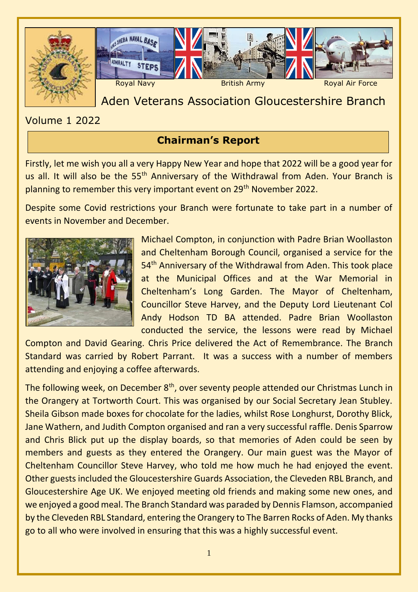



# Aden Veterans Association Gloucestershire Branch

Volume 1 2022

# **Chairman's Report**

Firstly, let me wish you all a very Happy New Year and hope that 2022 will be a good year for us all. It will also be the 55<sup>th</sup> Anniversary of the Withdrawal from Aden. Your Branch is planning to remember this very important event on 29<sup>th</sup> November 2022.

Despite some Covid restrictions your Branch were fortunate to take part in a number of events in November and December.



Michael Compton, in conjunction with Padre Brian Woollaston and Cheltenham Borough Council, organised a service for the 54<sup>th</sup> Anniversary of the Withdrawal from Aden. This took place at the Municipal Offices and at the War Memorial in Cheltenham's Long Garden. The Mayor of Cheltenham, Councillor Steve Harvey, and the Deputy Lord Lieutenant Col Andy Hodson TD BA attended. Padre Brian Woollaston conducted the service, the lessons were read by Michael

Compton and David Gearing. Chris Price delivered the Act of Remembrance. The Branch Standard was carried by Robert Parrant. It was a success with a number of members attending and enjoying a coffee afterwards.

The following week, on December 8<sup>th</sup>, over seventy people attended our Christmas Lunch in the Orangery at Tortworth Court. This was organised by our Social Secretary Jean Stubley. Sheila Gibson made boxes for chocolate for the ladies, whilst Rose Longhurst, Dorothy Blick, Jane Wathern, and Judith Compton organised and ran a very successful raffle. Denis Sparrow and Chris Blick put up the display boards, so that memories of Aden could be seen by members and guests as they entered the Orangery. Our main guest was the Mayor of Cheltenham Councillor Steve Harvey, who told me how much he had enjoyed the event. Other guests included the Gloucestershire Guards Association, the Cleveden RBL Branch, and Gloucestershire Age UK. We enjoyed meeting old friends and making some new ones, and we enjoyed a good meal. The Branch Standard was paraded by Dennis Flamson, accompanied by the Cleveden RBL Standard, entering the Orangery to The Barren Rocks of Aden. My thanks go to all who were involved in ensuring that this was a highly successful event.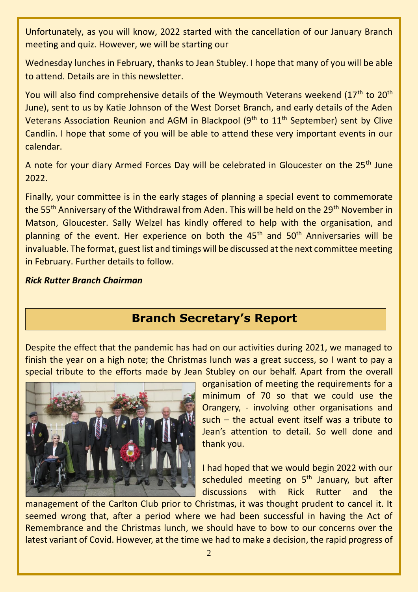Unfortunately, as you will know, 2022 started with the cancellation of our January Branch meeting and quiz. However, we will be starting our

Wednesday lunches in February, thanks to Jean Stubley. I hope that many of you will be able to attend. Details are in this newsletter.

You will also find comprehensive details of the Weymouth Veterans weekend (17<sup>th</sup> to 20<sup>th</sup> June), sent to us by Katie Johnson of the West Dorset Branch, and early details of the Aden Veterans Association Reunion and AGM in Blackpool ( $9<sup>th</sup>$  to  $11<sup>th</sup>$  September) sent by Clive Candlin. I hope that some of you will be able to attend these very important events in our calendar.

A note for your diary Armed Forces Day will be celebrated in Gloucester on the 25<sup>th</sup> June 2022.

Finally, your committee is in the early stages of planning a special event to commemorate the 55<sup>th</sup> Anniversary of the Withdrawal from Aden. This will be held on the 29<sup>th</sup> November in Matson, Gloucester. Sally Welzel has kindly offered to help with the organisation, and planning of the event. Her experience on both the  $45<sup>th</sup>$  and  $50<sup>th</sup>$  Anniversaries will be invaluable. The format, guest list and timings will be discussed at the next committee meeting in February. Further details to follow.

#### *Rick Rutter Branch Chairman*

# **Branch Secretary's Report**

Despite the effect that the pandemic has had on our activities during 2021, we managed to finish the year on a high note; the Christmas lunch was a great success, so I want to pay a special tribute to the efforts made by Jean Stubley on our behalf. Apart from the overall



organisation of meeting the requirements for a minimum of 70 so that we could use the Orangery, - involving other organisations and such – the actual event itself was a tribute to Jean's attention to detail. So well done and thank you.

I had hoped that we would begin 2022 with our scheduled meeting on 5<sup>th</sup> January, but after discussions with Rick Rutter and the

management of the Carlton Club prior to Christmas, it was thought prudent to cancel it. It seemed wrong that, after a period where we had been successful in having the Act of Remembrance and the Christmas lunch, we should have to bow to our concerns over the latest variant of Covid. However, at the time we had to make a decision, the rapid progress of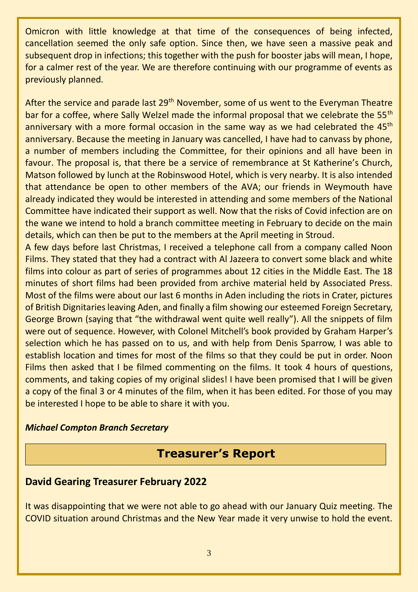Omicron with little knowledge at that time of the consequences of being infected, cancellation seemed the only safe option. Since then, we have seen a massive peak and subsequent drop in infections; this together with the push for booster jabs will mean, I hope, for a calmer rest of the year. We are therefore continuing with our programme of events as previously planned.

After the service and parade last 29<sup>th</sup> November, some of us went to the Everyman Theatre bar for a coffee, where Sally Welzel made the informal proposal that we celebrate the 55<sup>th</sup> anniversary with a more formal occasion in the same way as we had celebrated the 45<sup>th</sup> anniversary. Because the meeting in January was cancelled, I have had to canvass by phone, a number of members including the Committee, for their opinions and all have been in favour. The proposal is, that there be a service of remembrance at St Katherine's Church, Matson followed by lunch at the Robinswood Hotel, which is very nearby. It is also intended that attendance be open to other members of the AVA; our friends in Weymouth have already indicated they would be interested in attending and some members of the National Committee have indicated their support as well. Now that the risks of Covid infection are on the wane we intend to hold a branch committee meeting in February to decide on the main details, which can then be put to the members at the April meeting in Stroud.

A few days before last Christmas, I received a telephone call from a company called Noon Films. They stated that they had a contract with Al Jazeera to convert some black and white films into colour as part of series of programmes about 12 cities in the Middle East. The 18 minutes of short films had been provided from archive material held by Associated Press. Most of the films were about our last 6 months in Aden including the riots in Crater, pictures of British Dignitaries leaving Aden, and finally a film showing our esteemed Foreign Secretary, George Brown (saying that "the withdrawal went quite well really"). All the snippets of film were out of sequence. However, with Colonel Mitchell's book provided by Graham Harper's selection which he has passed on to us, and with help from Denis Sparrow, I was able to establish location and times for most of the films so that they could be put in order. Noon Films then asked that I be filmed commenting on the films. It took 4 hours of questions, comments, and taking copies of my original slides! I have been promised that I will be given a copy of the final 3 or 4 minutes of the film, when it has been edited. For those of you may be interested I hope to be able to share it with you.

#### *Michael Compton Branch Secretary*

# **Treasurer's Report**

## **David Gearing Treasurer February 2022**

It was disappointing that we were not able to go ahead with our January Quiz meeting. The COVID situation around Christmas and the New Year made it very unwise to hold the event.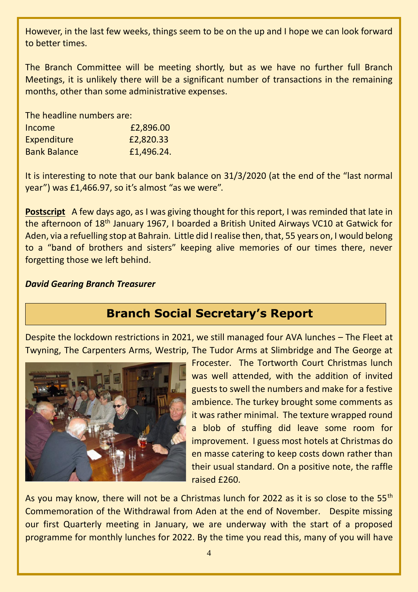However, in the last few weeks, things seem to be on the up and I hope we can look forward to better times.

The Branch Committee will be meeting shortly, but as we have no further full Branch Meetings, it is unlikely there will be a significant number of transactions in the remaining months, other than some administrative expenses.

The headline numbers are:

| Income              | £2,896.00  |
|---------------------|------------|
| Expenditure         | £2,820.33  |
| <b>Bank Balance</b> | £1,496.24. |

It is interesting to note that our bank balance on 31/3/2020 (at the end of the "last normal year") was £1,466.97, so it's almost "as we were".

**Postscript** A few days ago, as I was giving thought for this report, I was reminded that late in the afternoon of 18<sup>th</sup> January 1967, I boarded a British United Airways VC10 at Gatwick for Aden, via a refuelling stop at Bahrain. Little did I realise then, that, 55 years on, I would belong to a "band of brothers and sisters" keeping alive memories of our times there, never forgetting those we left behind.

#### *David Gearing Branch Treasurer*

# **Branch Social Secretary's Report**

Despite the lockdown restrictions in 2021, we still managed four AVA lunches – The Fleet at Twyning, The Carpenters Arms, Westrip, The Tudor Arms at Slimbridge and The George at



Frocester. The Tortworth Court Christmas lunch was well attended, with the addition of invited guests to swell the numbers and make for a festive ambience. The turkey brought some comments as it was rather minimal. The texture wrapped round a blob of stuffing did leave some room for improvement. I guess most hotels at Christmas do en masse catering to keep costs down rather than their usual standard. On a positive note, the raffle raised £260.

As you may know, there will not be a Christmas lunch for 2022 as it is so close to the 55<sup>th</sup> Commemoration of the Withdrawal from Aden at the end of November. Despite missing our first Quarterly meeting in January, we are underway with the start of a proposed programme for monthly lunches for 2022. By the time you read this, many of you will have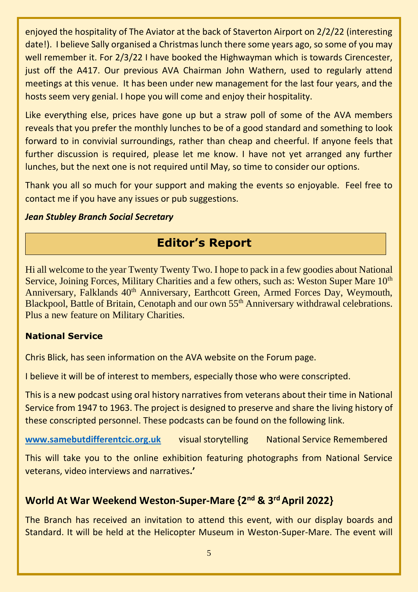enjoyed the hospitality of The Aviator at the back of Staverton Airport on 2/2/22 (interesting date!). I believe Sally organised a Christmas lunch there some years ago, so some of you may well remember it. For 2/3/22 I have booked the Highwayman which is towards Cirencester, just off the A417. Our previous AVA Chairman John Wathern, used to regularly attend meetings at this venue. It has been under new management for the last four years, and the hosts seem very genial. I hope you will come and enjoy their hospitality.

Like everything else, prices have gone up but a straw poll of some of the AVA members reveals that you prefer the monthly lunches to be of a good standard and something to look forward to in convivial surroundings, rather than cheap and cheerful. If anyone feels that further discussion is required, please let me know. I have not yet arranged any further lunches, but the next one is not required until May, so time to consider our options.

Thank you all so much for your support and making the events so enjoyable. Feel free to contact me if you have any issues or pub suggestions.

#### *Jean Stubley Branch Social Secretary*

# **Editor's Report**

Hi all welcome to the year Twenty Twenty Two. I hope to pack in a few goodies about National Service, Joining Forces, Military Charities and a few others, such as: Weston Super Mare 10<sup>th</sup> Anniversary, Falklands 40<sup>th</sup> Anniversary, Earthcott Green, Armed Forces Day, Weymouth, Blackpool, Battle of Britain, Cenotaph and our own 55<sup>th</sup> Anniversary withdrawal celebrations. Plus a new feature on Military Charities.

#### **National Service**

Chris Blick, has seen information on the AVA website on the Forum page.

I believe it will be of interest to members, especially those who were conscripted.

This is a new podcast using oral history narratives from veterans about their time in National Service from 1947 to 1963. The project is designed to preserve and share the living history of these conscripted personnel. These podcasts can be found on the following link.

**[www.samebutdifferentcic.org.uk](http://www.samebutdifferentcic.org.uk/)** visual storytelling National Service Remembered

This will take you to the online exhibition featuring photographs from National Service veterans, video interviews and narratives**.'**

# **World At War Weekend Weston-Super-Mare {2nd & 3rd April 2022}**

The Branch has received an invitation to attend this event, with our display boards and Standard. It will be held at the Helicopter Museum in Weston-Super-Mare. The event will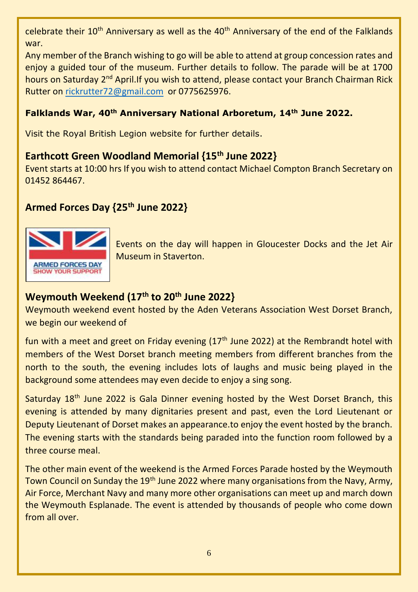celebrate their 10<sup>th</sup> Anniversary as well as the 40<sup>th</sup> Anniversary of the end of the Falklands war.

Any member of the Branch wishing to go will be able to attend at group concession rates and enjoy a guided tour of the museum. Further details to follow. The parade will be at 1700 hours on Saturday 2<sup>nd</sup> April.If you wish to attend, please contact your Branch Chairman Rick Rutter on [rickrutter72@gmail.com](mailto:rickrutter72@gmail.com) or 0775625976.

### **Falklands War, 40th Anniversary National Arboretum, 14th June 2022.**

Visit the Royal British Legion website for further details.

## **Earthcott Green Woodland Memorial {15th June 2022}**

Event starts at 10:00 hrs If you wish to attend contact Michael Compton Branch Secretary on 01452 864467.

# **Armed Forces Day {25th June 2022}**



Events on the day will happen in Gloucester Docks and the Jet Air Museum in Staverton.

# **Weymouth Weekend (17th to 20th June 2022}**

Weymouth weekend event hosted by the Aden Veterans Association West Dorset Branch, we begin our weekend of

fun with a meet and greet on Friday evening  $(17<sup>th</sup>$  June 2022) at the Rembrandt hotel with members of the West Dorset branch meeting members from different branches from the north to the south, the evening includes lots of laughs and music being played in the background some attendees may even decide to enjoy a sing song.

Saturday 18<sup>th</sup> June 2022 is Gala Dinner evening hosted by the West Dorset Branch, this evening is attended by many dignitaries present and past, even the Lord Lieutenant or Deputy Lieutenant of Dorset makes an appearance.to enjoy the event hosted by the branch. The evening starts with the standards being paraded into the function room followed by a three course meal.

The other main event of the weekend is the Armed Forces Parade hosted by the Weymouth Town Council on Sunday the 19<sup>th</sup> June 2022 where many organisations from the Navy, Army, Air Force, Merchant Navy and many more other organisations can meet up and march down the Weymouth Esplanade. The event is attended by thousands of people who come down from all over.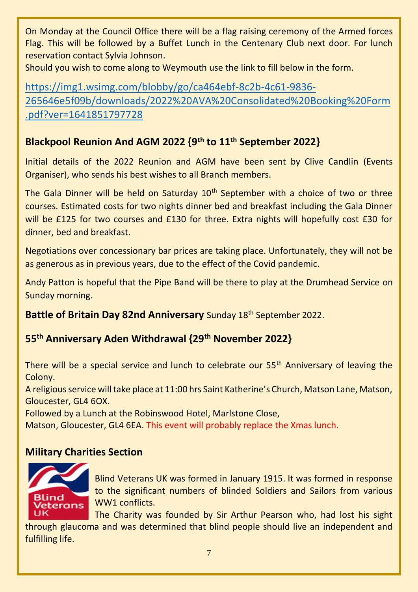On Monday at the Council Office there will be a flag raising ceremony of the Armed forces Flag. This will be followed by a Buffet Lunch in the Centenary Club next door. For lunch reservation contact Sylvia Johnson.

Should you wish to come along to Weymouth use the link to fill below in the form.

[https://img1.wsimg.com/blobby/go/ca464ebf-8c2b-4c61-9836-](https://img1.wsimg.com/blobby/go/ca464ebf-8c2b-4c61-9836-265646e5f09b/downloads/2022%20AVA%20Consolidated%20Booking%20Form.pdf?ver=1641851797728) [265646e5f09b/downloads/2022%20AVA%20Consolidated%20Booking%20Form](https://img1.wsimg.com/blobby/go/ca464ebf-8c2b-4c61-9836-265646e5f09b/downloads/2022%20AVA%20Consolidated%20Booking%20Form.pdf?ver=1641851797728) [.pdf?ver=1641851797728](https://img1.wsimg.com/blobby/go/ca464ebf-8c2b-4c61-9836-265646e5f09b/downloads/2022%20AVA%20Consolidated%20Booking%20Form.pdf?ver=1641851797728)

# **Blackpool Reunion And AGM 2022 {9th to 11th September 2022}**

Initial details of the 2022 Reunion and AGM have been sent by Clive Candlin (Events Organiser), who sends his best wishes to all Branch members.

The Gala Dinner will be held on Saturday  $10<sup>th</sup>$  September with a choice of two or three courses. Estimated costs for two nights dinner bed and breakfast including the Gala Dinner will be £125 for two courses and £130 for three. Extra nights will hopefully cost £30 for dinner, bed and breakfast.

Negotiations over concessionary bar prices are taking place. Unfortunately, they will not be as generous as in previous years, due to the effect of the Covid pandemic.

Andy Patton is hopeful that the Pipe Band will be there to play at the Drumhead Service on Sunday morning.

**Battle of Britain Day 82nd Anniversary** Sunday 18<sup>th</sup> September 2022.

# **55th Anniversary Aden Withdrawal {29th November 2022}**

There will be a special service and lunch to celebrate our 55<sup>th</sup> Anniversary of leaving the Colony.

A religious service will take place at 11:00 hrs Saint Katherine's Church, Matson Lane, Matson, Gloucester, GL4 6OX.

Followed by a Lunch at the Robinswood Hotel, Marlstone Close,

Matson, Gloucester, GL4 6EA. This event will probably replace the Xmas lunch.

## **Military Charities Section**



Blind Veterans UK was formed in January 1915. It was formed in response to the significant numbers of blinded Soldiers and Sailors from various WW1 conflicts.

The Charity was founded by Sir Arthur Pearson who, had lost his sight

through glaucoma and was determined that blind people should live an independent and fulfilling life.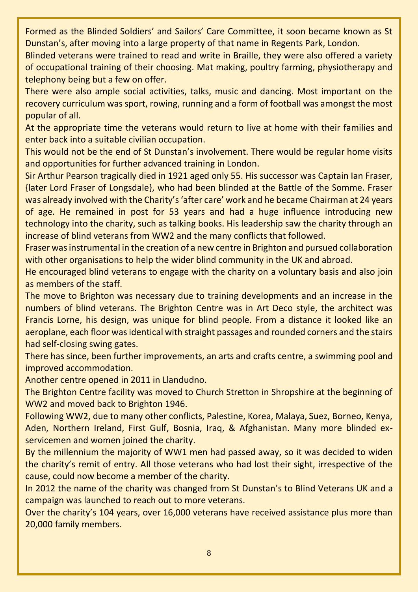Formed as the Blinded Soldiers' and Sailors' Care Committee, it soon became known as St Dunstan's, after moving into a large property of that name in Regents Park, London.

Blinded veterans were trained to read and write in Braille, they were also offered a variety of occupational training of their choosing. Mat making, poultry farming, physiotherapy and telephony being but a few on offer.

There were also ample social activities, talks, music and dancing. Most important on the recovery curriculum was sport, rowing, running and a form of football was amongst the most popular of all.

At the appropriate time the veterans would return to live at home with their families and enter back into a suitable civilian occupation.

This would not be the end of St Dunstan's involvement. There would be regular home visits and opportunities for further advanced training in London.

Sir Arthur Pearson tragically died in 1921 aged only 55. His successor was Captain Ian Fraser, {later Lord Fraser of Longsdale}, who had been blinded at the Battle of the Somme. Fraser was already involved with the Charity's 'after care' work and he became Chairman at 24 years of age. He remained in post for 53 years and had a huge influence introducing new technology into the charity, such as talking books. His leadership saw the charity through an increase of blind veterans from WW2 and the many conflicts that followed.

Fraser was instrumental in the creation of a new centre in Brighton and pursued collaboration with other organisations to help the wider blind community in the UK and abroad.

He encouraged blind veterans to engage with the charity on a voluntary basis and also join as members of the staff.

The move to Brighton was necessary due to training developments and an increase in the numbers of blind veterans. The Brighton Centre was in Art Deco style, the architect was Francis Lorne, his design, was unique for blind people. From a distance it looked like an aeroplane, each floor was identical with straight passages and rounded corners and the stairs had self-closing swing gates.

There has since, been further improvements, an arts and crafts centre, a swimming pool and improved accommodation.

Another centre opened in 2011 in Llandudno.

The Brighton Centre facility was moved to Church Stretton in Shropshire at the beginning of WW2 and moved back to Brighton 1946.

Following WW2, due to many other conflicts, Palestine, Korea, Malaya, Suez, Borneo, Kenya, Aden, Northern Ireland, First Gulf, Bosnia, Iraq, & Afghanistan. Many more blinded exservicemen and women joined the charity.

By the millennium the majority of WW1 men had passed away, so it was decided to widen the charity's remit of entry. All those veterans who had lost their sight, irrespective of the cause, could now become a member of the charity.

In 2012 the name of the charity was changed from St Dunstan's to Blind Veterans UK and a campaign was launched to reach out to more veterans.

Over the charity's 104 years, over 16,000 veterans have received assistance plus more than 20,000 family members.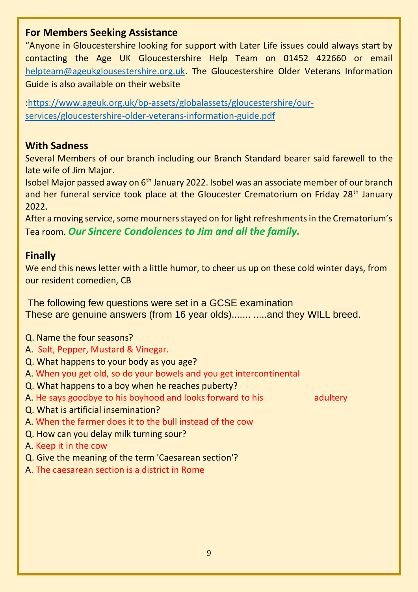### **For Members Seeking Assistance**

"Anyone in Gloucestershire looking for support with Later Life issues could always start by contacting the Age UK Gloucestershire Help Team on 01452 422660 or email [helpteam@ageukglousestershire.org.uk.](mailto:helpteam@ageukglousestershire.org.uk) The Gloucestershire Older Veterans Information Guide is also available on their website

[:https://www.ageuk.org.uk/bp-assets/globalassets/gloucestershire/our](https://www.ageuk.org.uk/bp-assets/globalassets/gloucestershire/our-services/gloucestershire-older-veterans-information-guide.pdf)[services/gloucestershire-older-veterans-information-guide.pdf](https://www.ageuk.org.uk/bp-assets/globalassets/gloucestershire/our-services/gloucestershire-older-veterans-information-guide.pdf)

## **With Sadness**

Several Members of our branch including our Branch Standard bearer said farewell to the late wife of Jim Major.

Isobel Major passed away on 6th January 2022. Isobel was an associate member of our branch and her funeral service took place at the Gloucester Crematorium on Friday 28<sup>th</sup> January 2022.

After a moving service, some mourners stayed on for light refreshments in the Crematorium's Tea room. *Our Sincere Condolences to Jim and all the family.*

## **Finally**

We end this news letter with a little humor, to cheer us up on these cold winter days, from our resident comedien, CB

The following few questions were set in a GCSE examination These are genuine answers (from 16 year olds)....... .....and they WILL breed.

- Q. Name the four seasons?
- A. Salt, Pepper, Mustard & Vinegar.
- Q. What happens to your body as you age?
- A. When you get old, so do your bowels and you get intercontinental
- Q. What happens to a boy when he reaches puberty?
- A. He says goodbye to his boyhood and looks forward to his adultery

- Q. What is artificial insemination?
- A. When the farmer does it to the bull instead of the cow
- Q. How can you delay milk turning sour?

A. Keep it in the cow

- Q. Give the meaning of the term 'Caesarean section'?
- A. The caesarean section is a district in Rome